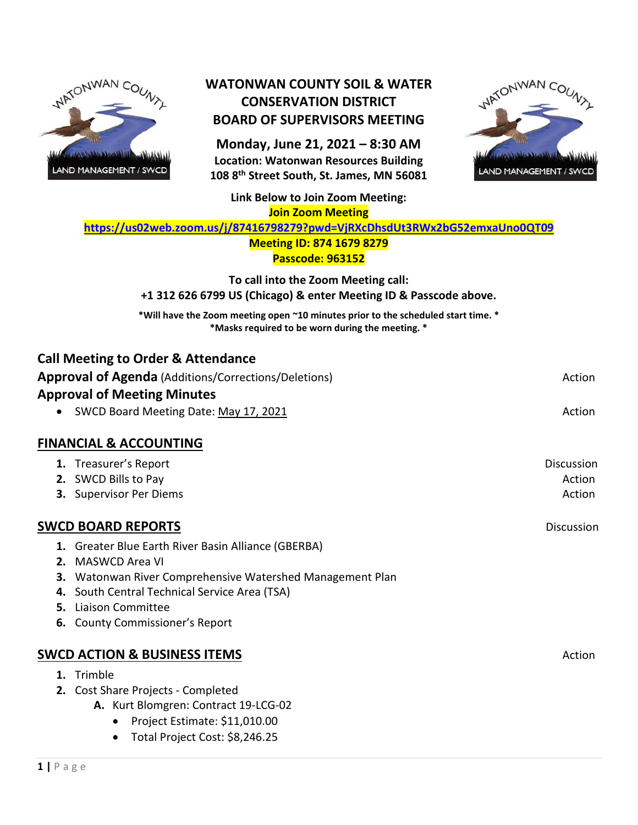

### **WATONWAN COUNTY SOIL & WATER CONSERVATION DISTRICT BOARD OF SUPERVISORS MEETING**

**Monday, June 21, 2021 – 8:30 AM Location: Watonwan Resources Building 108 8th Street South, St. James, MN 56081**



**Link Below to Join Zoom Meeting: Join Zoom Meeting**

**<https://us02web.zoom.us/j/87416798279?pwd=VjRXcDhsdUt3RWx2bG52emxaUno0QT09>**

#### **Meeting ID: 874 1679 8279 Passcode: 963152**

**To call into the Zoom Meeting call: +1 312 626 6799 US (Chicago) & enter Meeting ID & Passcode above.**

**\*Will have the Zoom meeting open ~10 minutes prior to the scheduled start time. \* \*Masks required to be worn during the meeting. \***

| <b>Call Meeting to Order &amp; Attendance</b><br><b>Approval of Agenda</b> (Additions/Corrections/Deletions)<br><b>Approval of Meeting Minutes</b><br>SWCD Board Meeting Date: May 17, 2021                                                              | Action<br>Action               |
|----------------------------------------------------------------------------------------------------------------------------------------------------------------------------------------------------------------------------------------------------------|--------------------------------|
| <b>FINANCIAL &amp; ACCOUNTING</b>                                                                                                                                                                                                                        |                                |
| 1. Treasurer's Report<br>2. SWCD Bills to Pay<br>3. Supervisor Per Diems                                                                                                                                                                                 | Discussion<br>Action<br>Action |
| <b>SWCD BOARD REPORTS</b>                                                                                                                                                                                                                                | <b>Discussion</b>              |
| 1. Greater Blue Earth River Basin Alliance (GBERBA)<br>2. MASWCD Area VI<br>3. Watonwan River Comprehensive Watershed Management Plan<br>4. South Central Technical Service Area (TSA)<br>5. Liaison Committee<br><b>6.</b> County Commissioner's Report |                                |
| <b>SWCD ACTION &amp; BUSINESS ITEMS</b>                                                                                                                                                                                                                  | Action                         |
| 1. Trimble<br>2. Cost Share Projects - Completed<br>A. Kurt Blomgren: Contract 19-LCG-02<br>Project Estimate: \$11,010.00<br>$\bullet$<br>Total Project Cost: \$8,246.25<br>$\bullet$                                                                    |                                |